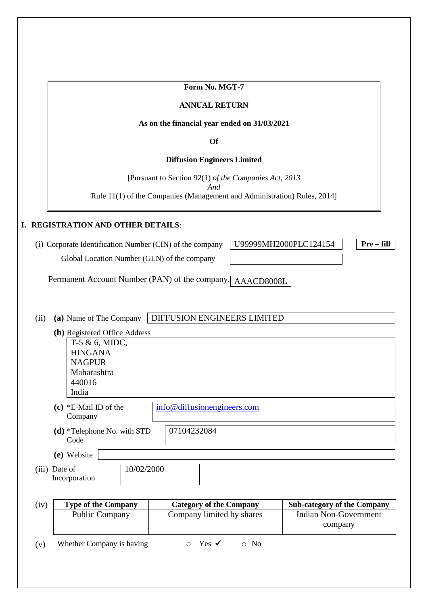**Form No. MGT-7**

#### **ANNUAL RETURN**

#### **As on the financial year ended on 31/03/2021**

**Of**

#### **Diffusion Engineers Limited**

[Pursuant to Section 92(1) *of the Companies Act, 2013* 

*And*

Rule 11(1) of the Companies (Management and Administration) Rules, 2014]

#### **I. REGISTRATION AND OTHER DETAILS**:

(i) Corporate Identification Number (CIN) of the company U99999MH2000PLC124154 **Pre – fill** Global Location Number (GLN) of the company

Permanent Account Number (PAN) of the company. AAACD8008L

(ii) **(a)** Name of The Company DIFFUSION ENGINEERS LIMITED

|      | (b) Registered Office Address                |                                |                                         |
|------|----------------------------------------------|--------------------------------|-----------------------------------------|
|      | $T-5 & 6$ , MIDC,                            |                                |                                         |
|      | <b>HINGANA</b>                               |                                |                                         |
|      | <b>NAGPUR</b>                                |                                |                                         |
|      | Maharashtra                                  |                                |                                         |
|      | 440016                                       |                                |                                         |
|      | India                                        |                                |                                         |
|      | (c) $*E$ -Mail ID of the<br>Company          | info@diffusionengineers.com    |                                         |
|      | $(d)$ *Telephone No. with STD<br>Code        | 07104232084                    |                                         |
|      | (e) Website                                  |                                |                                         |
|      | 10/02/2000<br>(iii) Date of<br>Incorporation |                                |                                         |
|      |                                              |                                |                                         |
| (iv) | <b>Type of the Company</b>                   | <b>Category of the Company</b> | <b>Sub-category of the Company</b>      |
|      | <b>Public Company</b>                        | Company limited by shares      | <b>Indian Non-Government</b><br>company |

(v) Whether Company is having  $\circ$  Yes  $\checkmark$  o No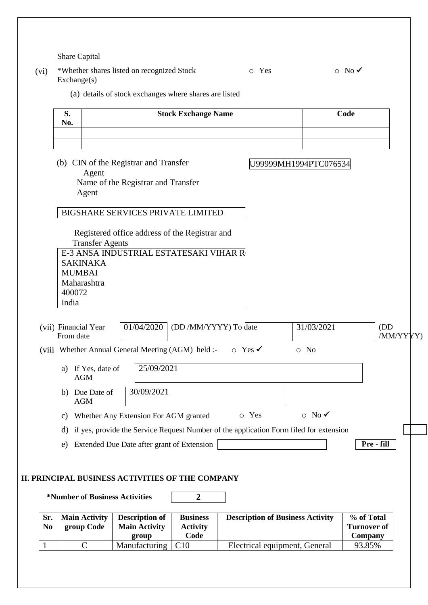Share Capital

| (vi) | *Whether shares listed on recognized Stock | o Yes | $\circ$ No $\checkmark$ |
|------|--------------------------------------------|-------|-------------------------|
|      | Exchange(s)                                |       |                         |

(a) details of stock exchanges where shares are listed

|                       | S.<br>No.                          |                        |                                                                             | <b>Stock Exchange Name</b> |                                                                                           |                         | Code               |
|-----------------------|------------------------------------|------------------------|-----------------------------------------------------------------------------|----------------------------|-------------------------------------------------------------------------------------------|-------------------------|--------------------|
|                       |                                    | Agent                  | (b) CIN of the Registrar and Transfer<br>Name of the Registrar and Transfer |                            |                                                                                           | U99999MH1994PTC076534   |                    |
|                       | Agent                              |                        | <b>BIGSHARE SERVICES PRIVATE LIMITED</b>                                    |                            |                                                                                           |                         |                    |
|                       |                                    |                        | Registered office address of the Registrar and                              |                            |                                                                                           |                         |                    |
|                       |                                    | <b>Transfer Agents</b> |                                                                             |                            |                                                                                           |                         |                    |
|                       |                                    |                        | E-3 ANSA INDUSTRIAL ESTATESAKI VIHAR R                                      |                            |                                                                                           |                         |                    |
|                       | <b>SAKINAKA</b>                    |                        |                                                                             |                            |                                                                                           |                         |                    |
|                       | <b>MUMBAI</b>                      |                        |                                                                             |                            |                                                                                           |                         |                    |
|                       | Maharashtra<br>400072              |                        |                                                                             |                            |                                                                                           |                         |                    |
|                       | India                              |                        |                                                                             |                            |                                                                                           |                         |                    |
|                       |                                    |                        |                                                                             |                            |                                                                                           |                         |                    |
|                       | (vii) Financial Year               |                        | 01/04/2020                                                                  | (DD /MM/YYYY) To date      |                                                                                           | 31/03/2021              | (DD)               |
|                       | From date                          |                        |                                                                             |                            |                                                                                           |                         | /MM/YYYY)          |
|                       |                                    |                        | (viii Whether Annual General Meeting (AGM) held :- $\circ$ Yes $\checkmark$ |                            |                                                                                           | $\circ$ No              |                    |
|                       |                                    |                        |                                                                             |                            |                                                                                           |                         |                    |
|                       | a) If Yes, date of<br><b>AGM</b>   |                        | 25/09/2021                                                                  |                            |                                                                                           |                         |                    |
|                       |                                    |                        |                                                                             |                            |                                                                                           |                         |                    |
|                       | b) Due Date of<br><b>AGM</b>       |                        | 30/09/2021                                                                  |                            |                                                                                           |                         |                    |
|                       |                                    |                        | c) Whether Any Extension For AGM granted                                    |                            | o Yes                                                                                     | $\circ$ No $\checkmark$ |                    |
|                       |                                    |                        |                                                                             |                            | d) if yes, provide the Service Request Number of the application Form filed for extension |                         |                    |
|                       | e)                                 |                        | Extended Due Date after grant of Extension                                  |                            |                                                                                           |                         | Pre - fill         |
|                       |                                    |                        |                                                                             |                            |                                                                                           |                         |                    |
|                       |                                    |                        |                                                                             |                            |                                                                                           |                         |                    |
|                       |                                    |                        | II. PRINCIPAL BUSINESS ACTIVITIES OF THE COMPANY                            |                            |                                                                                           |                         |                    |
|                       |                                    |                        |                                                                             |                            |                                                                                           |                         |                    |
|                       |                                    |                        | *Number of Business Activities                                              | $\boldsymbol{2}$           |                                                                                           |                         |                    |
|                       |                                    |                        |                                                                             | <b>Business</b>            |                                                                                           |                         | % of Total         |
| Sr.<br>N <sub>0</sub> | <b>Main Activity</b><br>group Code |                        | <b>Description of</b><br><b>Main Activity</b>                               | <b>Activity</b>            | <b>Description of Business Activity</b>                                                   |                         | <b>Turnover of</b> |
|                       |                                    |                        | group                                                                       | Code                       |                                                                                           |                         | Company            |
|                       |                                    |                        |                                                                             |                            |                                                                                           |                         |                    |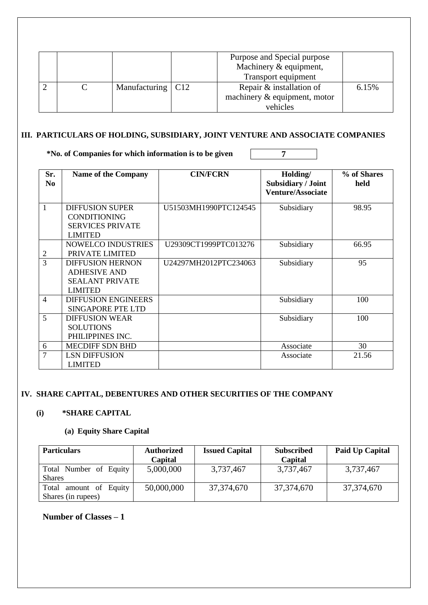|  |                     | Purpose and Special purpose<br>Machinery & equipment,<br>Transport equipment |       |
|--|---------------------|------------------------------------------------------------------------------|-------|
|  | Manufacturing   C12 | Repair & installation of<br>machinery $\&$ equipment, motor<br>vehicles      | 6.15% |

## **III. PARTICULARS OF HOLDING, SUBSIDIARY, JOINT VENTURE AND ASSOCIATE COMPANIES**

**\*No. of Companies for which information is to be given 7**

| Sr.<br>N <sub>0</sub> | <b>Name of the Company</b>                                                                 | <b>CIN/FCRN</b>       | Holding/<br>Subsidiary / Joint<br><b>Venture/Associate</b> | % of Shares<br>held |
|-----------------------|--------------------------------------------------------------------------------------------|-----------------------|------------------------------------------------------------|---------------------|
| $\overline{1}$        | <b>DIFFUSION SUPER</b><br><b>CONDITIONING</b><br><b>SERVICES PRIVATE</b><br><b>LIMITED</b> | U51503MH1990PTC124545 | Subsidiary                                                 | 98.95               |
| $\overline{2}$        | <b>NOWELCO INDUSTRIES</b><br>PRIVATE LIMITED                                               | U29309CT1999PTC013276 | Subsidiary                                                 | 66.95               |
| $\overline{3}$        | <b>DIFFUSION HERNON</b><br><b>ADHESIVE AND</b><br><b>SEALANT PRIVATE</b><br><b>LIMITED</b> | U24297MH2012PTC234063 | Subsidiary                                                 | 95                  |
| $\overline{4}$        | <b>DIFFUSION ENGINEERS</b><br><b>SINGAPORE PTE LTD</b>                                     |                       | Subsidiary                                                 | 100                 |
| $\overline{5}$        | <b>DIFFUSION WEAR</b><br><b>SOLUTIONS</b><br>PHILIPPINES INC.                              |                       | Subsidiary                                                 | 100                 |
| 6                     | <b>MECDIFF SDN BHD</b>                                                                     |                       | Associate                                                  | 30                  |
| $\overline{7}$        | <b>LSN DIFFUSION</b><br><b>LIMITED</b>                                                     |                       | Associate                                                  | 21.56               |

### **IV. SHARE CAPITAL, DEBENTURES AND OTHER SECURITIES OF THE COMPANY**

#### **(i) \*SHARE CAPITAL**

## **(a) Equity Share Capital**

| <b>Particulars</b>                           | <b>Authorized</b><br>Capital | <b>Issued Capital</b> | <b>Subscribed</b><br>Capital | Paid Up Capital |
|----------------------------------------------|------------------------------|-----------------------|------------------------------|-----------------|
| Total Number of Equity<br><b>Shares</b>      | 5,000,000                    | 3,737,467             | 3,737,467                    | 3,737,467       |
| Total amount of Equity<br>Shares (in rupees) | 50,000,000                   | 37, 374, 670          | 37,374,670                   | 37, 374, 670    |

## **Number of Classes – 1**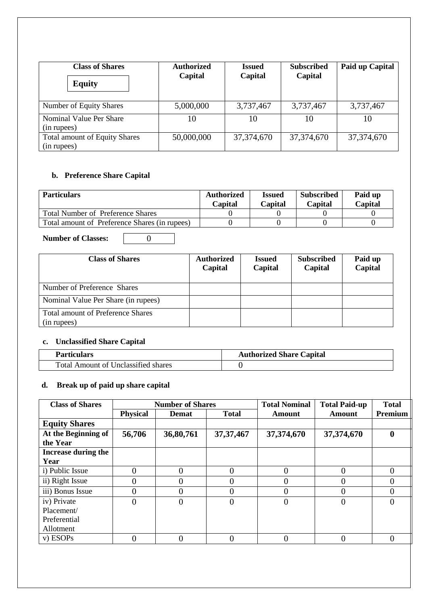| <b>Class of Shares</b><br><b>Equity</b>             | <b>Authorized</b><br>Capital | <b>Issued</b><br>Capital | <b>Subscribed</b><br>Capital | Paid up Capital |
|-----------------------------------------------------|------------------------------|--------------------------|------------------------------|-----------------|
| Number of Equity Shares                             | 5,000,000                    | 3,737,467                | 3,737,467                    | 3,737,467       |
| Nominal Value Per Share<br>(in rupees)              | 10                           | 10                       | 10                           | 10              |
| <b>Total amount of Equity Shares</b><br>(in rupees) | 50,000,000                   | 37, 374, 670             | 37, 374, 670                 | 37, 374, 670    |

## **b. Preference Share Capital**

| <b>Particulars</b>                            | <b>Authorized</b><br>Capital | <b>Issued</b><br>Capital | <b>Subscribed</b><br>Capital | Paid up<br>Capital |
|-----------------------------------------------|------------------------------|--------------------------|------------------------------|--------------------|
| Total Number of Preference Shares             |                              |                          |                              |                    |
| Total amount of Preference Shares (in rupees) |                              |                          |                              |                    |

**Number of Classes:** 0

| <b>Class of Shares</b>                                  | <b>Authorized</b><br>Capital | <b>Issued</b><br>Capital | <b>Subscribed</b><br>Capital | Paid up<br>Capital |
|---------------------------------------------------------|------------------------------|--------------------------|------------------------------|--------------------|
| Number of Preference Shares                             |                              |                          |                              |                    |
| Nominal Value Per Share (in rupees)                     |                              |                          |                              |                    |
| <b>Total amount of Preference Shares</b><br>(in rupees) |                              |                          |                              |                    |

## **c. Unclassified Share Capital**

| <b>Particulars</b>                         | <b>Authorized Share Capital</b> |
|--------------------------------------------|---------------------------------|
| <b>Total Amount of Unclassified shares</b> |                                 |

# **d. Break up of paid up share capital**

| <b>Class of Shares</b> |                 | <b>Number of Shares</b> |                | <b>Total Nominal</b> | <b>Total Paid-up</b> | <b>Total</b> |
|------------------------|-----------------|-------------------------|----------------|----------------------|----------------------|--------------|
|                        | <b>Physical</b> | <b>Demat</b>            | <b>Total</b>   | Amount               | Amount               | Premium      |
| <b>Equity Shares</b>   |                 |                         |                |                      |                      |              |
| At the Beginning of    | 56,706          | 36,80,761               | 37, 37, 467    | 37,374,670           | 37,374,670           | $\mathbf{0}$ |
| the Year               |                 |                         |                |                      |                      |              |
| Increase during the    |                 |                         |                |                      |                      |              |
| Year                   |                 |                         |                |                      |                      |              |
| i) Public Issue        |                 | $\Omega$                | $\Omega$       | 0                    |                      | $\Omega$     |
| ii) Right Issue        |                 | $\Omega$                | 0              | $\mathbf{\Omega}$    |                      | $\theta$     |
| iii) Bonus Issue       |                 | $\Omega$                | $\overline{0}$ | 0                    |                      | 0            |
| iv) Private            | 0               | $\overline{0}$          | $\overline{0}$ | 0                    |                      | $\Omega$     |
| Placement/             |                 |                         |                |                      |                      |              |
| Preferential           |                 |                         |                |                      |                      |              |
| Allotment              |                 |                         |                |                      |                      |              |
| v) ESOPs               | 0               | $\Omega$                | $\Omega$       | 0                    |                      | $\Omega$     |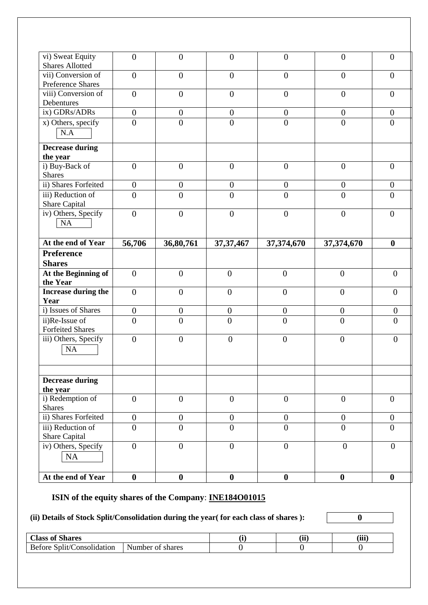| vi) Sweat Equity<br><b>Shares Allotted</b> | $\overline{0}$   | $\overline{0}$                     | $\overline{0}$                       | $\mathbf{0}$     | $\overline{0}$   | $\overline{0}$                     |
|--------------------------------------------|------------------|------------------------------------|--------------------------------------|------------------|------------------|------------------------------------|
| vii) Conversion of<br>Preference Shares    | $\overline{0}$   | $\overline{0}$                     | $\overline{0}$                       | $\overline{0}$   | $\overline{0}$   | $\boldsymbol{0}$                   |
| viii) Conversion of                        | $\boldsymbol{0}$ | $\boldsymbol{0}$                   | $\overline{0}$                       | $\boldsymbol{0}$ | $\overline{0}$   | $\boldsymbol{0}$                   |
| Debentures<br>ix) GDRs/ADRs                | $\overline{0}$   | $\boldsymbol{0}$                   | $\overline{0}$                       | $\boldsymbol{0}$ | $\overline{0}$   | $\overline{0}$                     |
| x) Others, specify                         | $\overline{0}$   | $\overline{0}$                     | $\overline{0}$                       | $\overline{0}$   | $\overline{0}$   | $\boldsymbol{0}$                   |
| N.A                                        |                  |                                    |                                      |                  |                  |                                    |
| <b>Decrease during</b><br>the year         |                  |                                    |                                      |                  |                  |                                    |
| i) Buy-Back of                             | $\overline{0}$   | $\boldsymbol{0}$                   | $\boldsymbol{0}$                     | $\boldsymbol{0}$ | $\overline{0}$   | $\boldsymbol{0}$                   |
| <b>Shares</b>                              |                  |                                    |                                      |                  |                  |                                    |
| ii) Shares Forfeited                       | $\boldsymbol{0}$ | $\boldsymbol{0}$                   | $\boldsymbol{0}$                     | $\boldsymbol{0}$ | $\boldsymbol{0}$ | $\boldsymbol{0}$                   |
| iii) Reduction of<br>Share Capital         | $\overline{0}$   | $\overline{0}$                     | $\overline{0}$                       | $\overline{0}$   | $\overline{0}$   | $\overline{0}$                     |
| iv) Others, Specify<br>NA                  | $\boldsymbol{0}$ | $\overline{0}$                     | $\boldsymbol{0}$                     | $\boldsymbol{0}$ | $\overline{0}$   | $\overline{0}$                     |
|                                            |                  | 36,80,761                          | 37, 37, 467                          | 37,374,670       | 37,374,670       | $\boldsymbol{0}$                   |
| At the end of Year                         | 56,706           |                                    |                                      |                  |                  |                                    |
| <b>Preference</b>                          |                  |                                    |                                      |                  |                  |                                    |
| <b>Shares</b>                              |                  |                                    |                                      |                  |                  |                                    |
| At the Beginning of                        | $\overline{0}$   | $\overline{0}$                     | $\boldsymbol{0}$                     | $\overline{0}$   | $\overline{0}$   | $\overline{0}$                     |
| the Year                                   |                  |                                    |                                      |                  |                  |                                    |
| Increase during the                        | $\overline{0}$   | $\boldsymbol{0}$                   | $\boldsymbol{0}$                     | $\boldsymbol{0}$ | $\boldsymbol{0}$ | $\mathbf{0}$                       |
| Year<br>i) Issues of Shares                | $\overline{0}$   |                                    |                                      | $\overline{0}$   | $\overline{0}$   |                                    |
| ii)Re-Issue of                             | $\overline{0}$   | $\boldsymbol{0}$<br>$\overline{0}$ | $\boldsymbol{0}$<br>$\boldsymbol{0}$ | $\overline{0}$   | $\mathbf{0}$     | $\boldsymbol{0}$<br>$\overline{0}$ |
| <b>Forfeited Shares</b>                    |                  |                                    |                                      |                  |                  |                                    |
| iii) Others, Specify<br><b>NA</b>          | $\overline{0}$   | $\boldsymbol{0}$                   | $\mathbf{0}$                         | $\overline{0}$   | $\boldsymbol{0}$ | $\overline{0}$                     |
| <b>Decrease during</b>                     |                  |                                    |                                      |                  |                  |                                    |
| the year<br>i) Redemption of               | $\boldsymbol{0}$ | $\boldsymbol{0}$                   | $\overline{0}$                       | $\overline{0}$   | $\overline{0}$   | $\overline{0}$                     |
| <b>Shares</b>                              |                  |                                    |                                      |                  |                  |                                    |
| ii) Shares Forfeited                       | $\boldsymbol{0}$ | $\boldsymbol{0}$                   | $\boldsymbol{0}$                     | $\boldsymbol{0}$ | $\boldsymbol{0}$ | $\boldsymbol{0}$                   |
| iii) Reduction of<br><b>Share Capital</b>  | $\overline{0}$   | $\boldsymbol{0}$                   | $\overline{0}$                       | $\overline{0}$   | $\overline{0}$   | $\overline{0}$                     |
| iv) Others, Specify<br>NA                  | $\overline{0}$   | $\overline{0}$                     | $\overline{0}$                       | $\overline{0}$   | $\overline{0}$   | $\overline{0}$                     |

# **(ii) Details of Stock Split/Consolidation during the year( for each class of shares ): 0**

| 0 <sub>0</sub><br>$\sim$<br><b>Shares</b><br>$\cup$ lass $\cap$<br>™ ∪ |                             | $\epsilon$<br>.<br>w | (iii) |
|------------------------------------------------------------------------|-----------------------------|----------------------|-------|
| $\sqrt{2}$<br>- Be<br>onse<br>lidation<br>∶ore                         | Number<br>Ωt<br>shares<br>. |                      |       |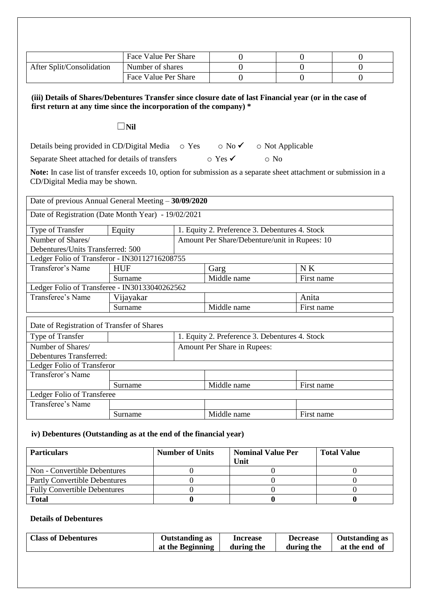|                           | Face Value Per Share |  |  |
|---------------------------|----------------------|--|--|
| After Split/Consolidation | Number of shares     |  |  |
|                           | Face Value Per Share |  |  |

**(iii) Details of Shares/Debentures Transfer since closure date of last Financial year (or in the case of first return at any time since the incorporation of the company) \***

#### ☐**Nil**

Details being provided in CD/Digital Media  $\circ$  Yes  $\circ$  No  $\checkmark$  o Not Applicable Separate Sheet attached for details of transfers  $\circ$  Yes  $\checkmark$  o No

**Note:** In case list of transfer exceeds 10, option for submission as a separate sheet attachment or submission in a CD/Digital Media may be shown.

| Date of previous Annual General Meeting - 30/09/2020 |            |  |                                                |            |  |  |
|------------------------------------------------------|------------|--|------------------------------------------------|------------|--|--|
| Date of Registration (Date Month Year) - 19/02/2021  |            |  |                                                |            |  |  |
| Type of Transfer                                     | Equity     |  | 1. Equity 2. Preference 3. Debentures 4. Stock |            |  |  |
| Number of Shares/                                    |            |  | Amount Per Share/Debenture/unit in Rupees: 10  |            |  |  |
| Debentures/Units Transferred: 500                    |            |  |                                                |            |  |  |
| Ledger Folio of Transferor - IN30112716208755        |            |  |                                                |            |  |  |
| Transferor's Name                                    | <b>HUF</b> |  | Garg                                           | NK         |  |  |
|                                                      | Surname    |  | Middle name                                    | First name |  |  |
| Ledger Folio of Transferee - IN30133040262562        |            |  |                                                |            |  |  |
| Transferee's Name                                    | Vijayakar  |  |                                                | Anita      |  |  |
|                                                      | Surname    |  | Middle name                                    | First name |  |  |
| Date of Registration of Transfer of Shares           |            |  |                                                |            |  |  |
| Type of Transfer                                     |            |  | 1. Equity 2. Preference 3. Debentures 4. Stock |            |  |  |
| Number of Shares/                                    |            |  | Amount Per Share in Rupees:                    |            |  |  |
| <b>Debentures Transferred:</b>                       |            |  |                                                |            |  |  |
| Ledger Folio of Transferor                           |            |  |                                                |            |  |  |
| Transferor's Name                                    |            |  |                                                |            |  |  |
|                                                      | Surname    |  | Middle name                                    | First name |  |  |
| Ledger Folio of Transferee                           |            |  |                                                |            |  |  |
| Transferee's Name                                    |            |  |                                                |            |  |  |
|                                                      | Surname    |  | Middle name                                    | First name |  |  |

#### **iv) Debentures (Outstanding as at the end of the financial year)**

| <b>Particulars</b>                  | <b>Number of Units</b> | <b>Nominal Value Per</b><br>Unit | <b>Total Value</b> |
|-------------------------------------|------------------------|----------------------------------|--------------------|
| Non - Convertible Debentures        |                        |                                  |                    |
| Partly Convertible Debentures       |                        |                                  |                    |
| <b>Fully Convertible Debentures</b> |                        |                                  |                    |
| <b>Total</b>                        |                        |                                  |                    |

#### **Details of Debentures**

| <b>Class of Debentures</b> | Outstanding as   | <b>Increase</b> | <b>Decrease</b> | <b>Outstanding as</b> |
|----------------------------|------------------|-----------------|-----------------|-----------------------|
|                            | at the Beginning | during the      | during the      | at the end of         |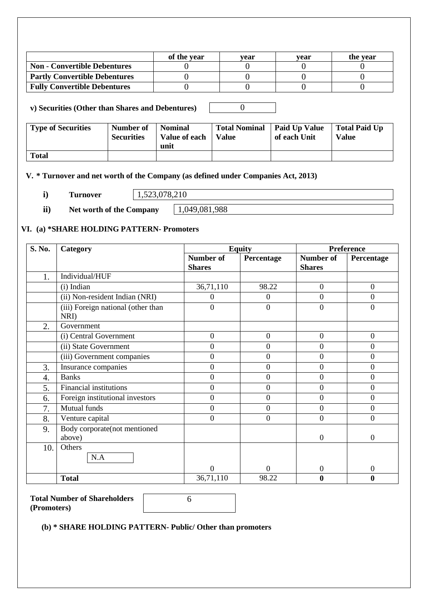|                                      | of the vear | vear | vear | the vear |
|--------------------------------------|-------------|------|------|----------|
| <b>Non - Convertible Debentures</b>  |             |      |      |          |
| <b>Partly Convertible Debentures</b> |             |      |      |          |
| <b>Fully Convertible Debentures</b>  |             |      |      |          |

**i) v) Securities (Other than Shares and Debentures)** 0

| <b>Type of Securities</b> | Number of<br><b>Securities</b> | <b>Nominal</b><br>Value of each<br>unit | Total Nominal   Paid Up Value<br><b>Value</b> | of each Unit | <b>Total Paid Up</b><br><b>Value</b> |
|---------------------------|--------------------------------|-----------------------------------------|-----------------------------------------------|--------------|--------------------------------------|
| <b>Total</b>              |                                |                                         |                                               |              |                                      |

## **V. \* Turnover and net worth of the Company (as defined under Companies Act, 2013)**

| $\overline{\phantom{a}}$ | <b>PEC</b><br>$T$ $\Omega$ $\mathbf{M}$<br><b><i><u>Property</u></i></b><br>'CL<br>****<br>$\overline{\phantom{a}}$ | $\epsilon$<br>. |
|--------------------------|---------------------------------------------------------------------------------------------------------------------|-----------------|
|                          |                                                                                                                     |                 |

**ii**) **Net worth of the Company**  $\begin{array}{|c|c|c|c|c|} \hline 1,049,081,988 \hline \end{array}$ 

### **VI. (a) \*SHARE HOLDING PATTERN- Promoters**

| S. No.           | Category                                   |                  | <b>Equity</b>  |                  | <b>Preference</b> |  |  |
|------------------|--------------------------------------------|------------------|----------------|------------------|-------------------|--|--|
|                  |                                            | <b>Number of</b> | Percentage     | <b>Number of</b> | Percentage        |  |  |
|                  |                                            | <b>Shares</b>    |                | <b>Shares</b>    |                   |  |  |
| 1.               | Individual/HUF                             |                  |                |                  |                   |  |  |
|                  | (i) Indian                                 | 36,71,110        | 98.22          | $\overline{0}$   | $\overline{0}$    |  |  |
|                  | (ii) Non-resident Indian (NRI)             | 0                | $\overline{0}$ | $\overline{0}$   | $\overline{0}$    |  |  |
|                  | (iii) Foreign national (other than<br>NRI) | $\overline{0}$   | $\overline{0}$ | $\overline{0}$   | $\overline{0}$    |  |  |
| 2.               | Government                                 |                  |                |                  |                   |  |  |
|                  | (i) Central Government                     | $\overline{0}$   | $\mathbf{0}$   | $\overline{0}$   | $\overline{0}$    |  |  |
|                  | (ii) State Government                      | $\boldsymbol{0}$ | $\overline{0}$ | $\boldsymbol{0}$ | $\overline{0}$    |  |  |
|                  | (iii) Government companies                 | $\boldsymbol{0}$ | $\mathbf{0}$   | $\boldsymbol{0}$ | $\boldsymbol{0}$  |  |  |
| 3.               | Insurance companies                        | 0                | $\mathbf{0}$   | $\overline{0}$   | $\overline{0}$    |  |  |
| $\overline{4}$ . | <b>Banks</b>                               | $\overline{0}$   | $\mathbf{0}$   | $\overline{0}$   | $\overline{0}$    |  |  |
| 5.               | Financial institutions                     | $\boldsymbol{0}$ | $\overline{0}$ | $\boldsymbol{0}$ | $\boldsymbol{0}$  |  |  |
| 6.               | Foreign institutional investors            | $\overline{0}$   | $\overline{0}$ | $\overline{0}$   | $\overline{0}$    |  |  |
| 7.               | Mutual funds                               | $\overline{0}$   | $\mathbf{0}$   | $\overline{0}$   | $\overline{0}$    |  |  |
| 8.               | Venture capital                            | $\Omega$         | $\mathbf{0}$   | $\overline{0}$   | $\overline{0}$    |  |  |
| 9.               | Body corporate(not mentioned               |                  |                |                  |                   |  |  |
|                  | above)                                     |                  |                | $\overline{0}$   | $\overline{0}$    |  |  |
| 10.              | Others                                     |                  |                |                  |                   |  |  |
|                  | N.A                                        |                  |                |                  |                   |  |  |
|                  |                                            | $\overline{0}$   | $\overline{0}$ | $\boldsymbol{0}$ | $\overline{0}$    |  |  |
|                  | <b>Total</b>                               | 36,71,110        | 98.22          | 0                | 0                 |  |  |

**Total Number of Shareholders (Promoters)**

6

**(b) \* SHARE HOLDING PATTERN- Public/ Other than promoters**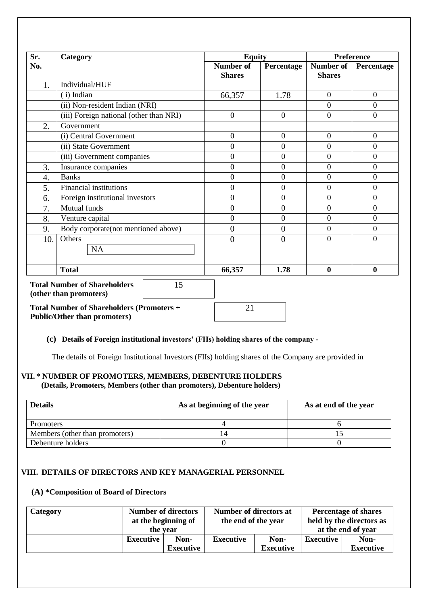| Sr. | Category                                                            | <b>Equity</b>                     |                  |                            | <b>Preference</b> |
|-----|---------------------------------------------------------------------|-----------------------------------|------------------|----------------------------|-------------------|
| No. |                                                                     | <b>Number of</b><br><b>Shares</b> | Percentage       | Number of<br><b>Shares</b> | Percentage        |
| 1.  | Individual/HUF                                                      |                                   |                  |                            |                   |
|     | (i) Indian                                                          | 66,357                            | 1.78             | $\mathbf{0}$               | $\boldsymbol{0}$  |
|     | (ii) Non-resident Indian (NRI)                                      |                                   |                  | $\theta$                   | $\overline{0}$    |
|     | (iii) Foreign national (other than NRI)                             | $\mathbf{0}$                      | $\boldsymbol{0}$ | $\overline{0}$             | $\boldsymbol{0}$  |
| 2.  | Government                                                          |                                   |                  |                            |                   |
|     | (i) Central Government                                              | $\mathbf{0}$                      | $\boldsymbol{0}$ | $\boldsymbol{0}$           | $\boldsymbol{0}$  |
|     | (ii) State Government                                               | $\overline{0}$                    | $\overline{0}$   | $\mathbf{0}$               | $\overline{0}$    |
|     | (iii) Government companies                                          | $\mathbf{0}$                      | $\boldsymbol{0}$ | $\boldsymbol{0}$           | $\overline{0}$    |
| 3.  | Insurance companies                                                 | $\overline{0}$                    | $\overline{0}$   | $\boldsymbol{0}$           | $\overline{0}$    |
| 4.  | <b>Banks</b>                                                        | $\mathbf{0}$                      | $\boldsymbol{0}$ | $\boldsymbol{0}$           | $\overline{0}$    |
| 5.  | <b>Financial institutions</b>                                       | $\mathbf{0}$                      | $\boldsymbol{0}$ | $\boldsymbol{0}$           | $\boldsymbol{0}$  |
| 6.  | Foreign institutional investors                                     | $\overline{0}$                    | $\overline{0}$   | $\overline{0}$             | $\overline{0}$    |
| 7.  | Mutual funds                                                        | $\mathbf{0}$                      | $\boldsymbol{0}$ | $\boldsymbol{0}$           | $\mathbf{0}$      |
| 8.  | Venture capital                                                     | $\overline{0}$                    | $\overline{0}$   | $\overline{0}$             | $\overline{0}$    |
| 9.  | Body corporate(not mentioned above)                                 | $\overline{0}$                    | $\overline{0}$   | $\boldsymbol{0}$           | $\mathbf{0}$      |
| 10. | Others<br><b>NA</b>                                                 | $\theta$                          | $\overline{0}$   | $\theta$                   | $\overline{0}$    |
|     | <b>Total</b>                                                        | 66,357                            | 1.78             | $\boldsymbol{0}$           | $\boldsymbol{0}$  |
|     | <b>Total Number of Shareholders</b><br>15<br>(other than promoters) |                                   |                  |                            |                   |

**Total Number of Shareholders (Promoters + Public/Other than promoters)**

#### **(c) Details of Foreign institutional investors' (FIIs) holding shares of the company -**

The details of Foreign Institutional Investors (FIIs) holding shares of the Company are provided in

21

#### **VII. \* NUMBER OF PROMOTERS, MEMBERS, DEBENTURE HOLDERS (Details, Promoters, Members (other than promoters), Debenture holders)**

| <b>Details</b>                 | As at beginning of the year | As at end of the year |
|--------------------------------|-----------------------------|-----------------------|
| <b>Promoters</b>               |                             |                       |
| Members (other than promoters) |                             |                       |
| Debenture holders              |                             |                       |

#### **VIII. DETAILS OF DIRECTORS AND KEY MANAGERIAL PERSONNEL**

## **(A) \*Composition of Board of Directors**

| Category |           | <b>Number of directors</b><br>at the beginning of<br>the vear | Number of directors at<br>the end of the year |                   | <b>Percentage of shares</b><br>held by the directors as<br>at the end of year |                          |
|----------|-----------|---------------------------------------------------------------|-----------------------------------------------|-------------------|-------------------------------------------------------------------------------|--------------------------|
|          | Executive | Non-<br>Executive                                             | <b>Executive</b>                              | Non-<br>Executive | Executive                                                                     | Non-<br><b>Executive</b> |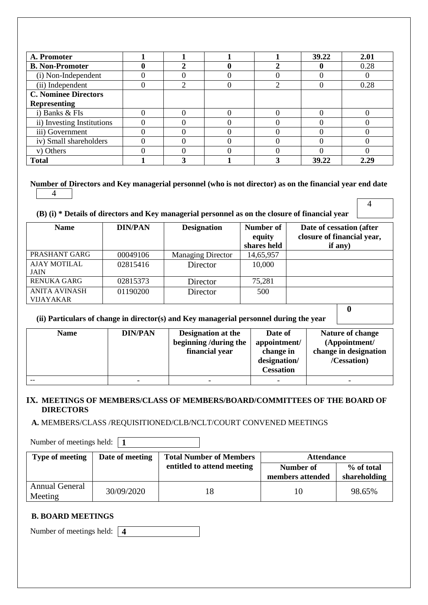| A. Promoter                 |   |  | 39.22 | 2.01 |
|-----------------------------|---|--|-------|------|
| <b>B. Non-Promoter</b>      |   |  |       | 0.28 |
| (i) Non-Independent         |   |  |       |      |
| (ii) Independent            | ∍ |  |       | 0.28 |
| <b>C. Nominee Directors</b> |   |  |       |      |
| <b>Representing</b>         |   |  |       |      |
| i) Banks & FIs              |   |  |       |      |
| ii) Investing Institutions  |   |  |       |      |
| iii) Government             |   |  |       |      |
| iv) Small shareholders      |   |  |       |      |
| v) Others                   |   |  |       |      |
| <b>Total</b>                |   |  | 39.22 | 2.29 |

#### **Number of Directors and Key managerial personnel (who is not director) as on the financial year end date**  4

4

### **(B) (i) \* Details of directors and Key managerial personnel as on the closure of financial year**

| <b>Name</b>         | <b>DIN/PAN</b> | <b>Designation</b>       | Number of   | Date of cessation (after   |
|---------------------|----------------|--------------------------|-------------|----------------------------|
|                     |                |                          | equity      | closure of financial year, |
|                     |                |                          | shares held | if any $)$                 |
| PRASHANT GARG       | 00049106       | <b>Managing Director</b> | 14,65,957   |                            |
| <b>AJAY MOTILAL</b> | 02815416       | Director                 | 10,000      |                            |
| <b>JAIN</b>         |                |                          |             |                            |
| <b>RENUKA GARG</b>  | 02815373       | Director                 | 75,281      |                            |
| ANITA AVINASH       | 01190200       | Director                 | 500         |                            |
| <b>VIJAYAKAR</b>    |                |                          |             |                            |
|                     |                |                          |             |                            |

### **(ii) Particulars of change in director(s) and Key managerial personnel during the year**

| <b>Name</b> | <b>DIN/PAN</b> | <b>Designation at the</b><br>beginning/during the<br>financial year | Date of<br>appointment/<br>change in<br>designation/<br><b>Cessation</b> | Nature of change<br>(Appointment/<br>change in designation<br>/Cessation) |
|-------------|----------------|---------------------------------------------------------------------|--------------------------------------------------------------------------|---------------------------------------------------------------------------|
|             |                | $\overline{\phantom{0}}$                                            | -                                                                        |                                                                           |

#### **IX. MEETINGS OF MEMBERS/CLASS OF MEMBERS/BOARD/COMMITTEES OF THE BOARD OF DIRECTORS**

**A.** MEMBERS/CLASS /REQUISITIONED/CLB/NCLT/COURT CONVENED MEETINGS

Number of meetings held: **1**

| <b>Type of meeting</b>    | Date of meeting | <b>Total Number of Members</b> | <b>Attendance</b>             |                            |
|---------------------------|-----------------|--------------------------------|-------------------------------|----------------------------|
|                           |                 | entitled to attend meeting     | Number of<br>members attended | % of total<br>shareholding |
| Annual General<br>Meeting | 30/09/2020      |                                | 10                            | 98.65%                     |

### **B. BOARD MEETINGS**

Number of meetings held: **4**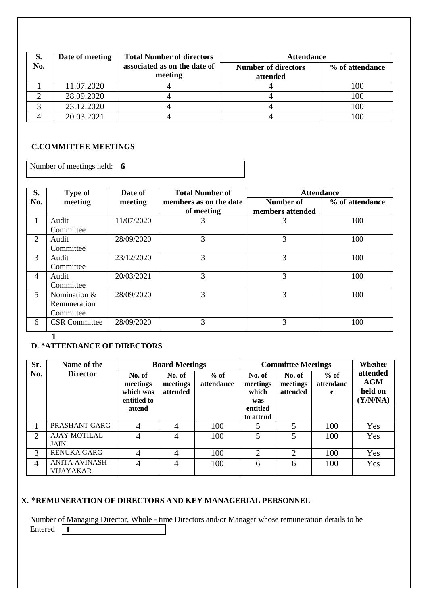| S.  | Date of meeting | <b>Total Number of directors</b>        | <b>Attendance</b>                      |                 |
|-----|-----------------|-----------------------------------------|----------------------------------------|-----------------|
| No. |                 | associated as on the date of<br>meeting | <b>Number of directors</b><br>attended | % of attendance |
|     | 11.07.2020      |                                         |                                        | 100             |
|     | 28.09.2020      |                                         |                                        | 100             |
|     | 23.12.2020      |                                         |                                        | 100             |
|     | 20.03.2021      |                                         |                                        |                 |

## **C.COMMITTEE MEETINGS**

| Number of meetings held: $\vert 6 \vert$ |  |
|------------------------------------------|--|
|                                          |  |

| S.  | Type of              | Date of    | <b>Total Number of</b> | <b>Attendance</b> |                 |  |
|-----|----------------------|------------|------------------------|-------------------|-----------------|--|
| No. | meeting              | meeting    | members as on the date | Number of         | % of attendance |  |
|     |                      |            | of meeting             | members attended  |                 |  |
| л.  | Audit                | 11/07/2020 | 3                      | 3                 | 100             |  |
|     | Committee            |            |                        |                   |                 |  |
| 2   | Audit                | 28/09/2020 | 3                      | 3                 | 100             |  |
|     | Committee            |            |                        |                   |                 |  |
| 3   | Audit                | 23/12/2020 | 3                      | 3                 | 100             |  |
|     | Committee            |            |                        |                   |                 |  |
| 4   | Audit                | 20/03/2021 | 3                      | 3                 | 100             |  |
|     | Committee            |            |                        |                   |                 |  |
| 5   | Nomination $&$       | 28/09/2020 | $\mathcal{R}$          | 3                 | 100             |  |
|     | Remuneration         |            |                        |                   |                 |  |
|     | Committee            |            |                        |                   |                 |  |
| 6   | <b>CSR</b> Committee | 28/09/2020 | 3                      | 3                 | 100             |  |

#### **1**

## **D. \*ATTENDANCE OF DIRECTORS**

| Sr.            | Name of the                              | <b>Board Meetings</b>                          |                                |                      |                                    | <b>Committee Meetings</b>      |                          |                                               |  |  | Whether |
|----------------|------------------------------------------|------------------------------------------------|--------------------------------|----------------------|------------------------------------|--------------------------------|--------------------------|-----------------------------------------------|--|--|---------|
| No.            | <b>Director</b>                          | No. of<br>meetings<br>which was<br>entitled to | No. of<br>meetings<br>attended | $%$ of<br>attendance | No. of<br>meetings<br>which<br>was | No. of<br>meetings<br>attended | $%$ of<br>attendanc<br>e | attended<br><b>AGM</b><br>held on<br>(Y/N/NA) |  |  |         |
|                |                                          | attend                                         |                                |                      | entitled<br>to attend              |                                |                          |                                               |  |  |         |
|                | PRASHANT GARG                            | $\overline{4}$                                 | 4                              | 100                  |                                    | 5                              | 100                      | Yes                                           |  |  |         |
| $\overline{2}$ | <b>AJAY MOTILAL</b><br><b>JAIN</b>       | 4                                              | 4                              | 100                  | 5                                  | 5                              | 100                      | Yes                                           |  |  |         |
| 3              | <b>RENUKA GARG</b>                       | 4                                              | $\overline{4}$                 | 100                  | $\overline{2}$                     | $\overline{2}$                 | 100                      | Yes                                           |  |  |         |
| $\overline{4}$ | <b>ANITA AVINASH</b><br><b>VIJAYAKAR</b> | 4                                              | 4                              | 100                  | 6                                  | 6                              | 100                      | Yes                                           |  |  |         |

## **X.** \***REMUNERATION OF DIRECTORS AND KEY MANAGERIAL PERSONNEL**

Number of Managing Director, Whole - time Directors and/or Manager whose remuneration details to be Entered  $\boxed{1}$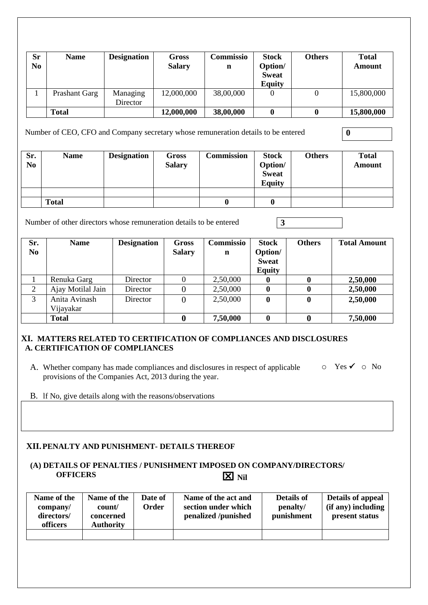| <b>Sr</b><br>N <sub>0</sub> | <b>Name</b>          | <b>Designation</b>   | Gross<br><b>Salary</b> | Commissio<br>n | <b>Stock</b><br>Option/<br><b>Sweat</b><br><b>Equity</b> | <b>Others</b> | <b>Total</b><br><b>Amount</b> |
|-----------------------------|----------------------|----------------------|------------------------|----------------|----------------------------------------------------------|---------------|-------------------------------|
|                             | <b>Prashant Garg</b> | Managing<br>Director | 12,000,000             | 38,00,000      | 0                                                        |               | 15,800,000                    |
|                             | <b>Total</b>         |                      | 12,000,000             | 38,00,000      |                                                          |               | 15,800,000                    |

Number of CEO, CFO and Company secretary whose remuneration details to be entered **0** 

| Sr.<br>N <sub>0</sub> | <b>Name</b>  | <b>Designation</b> | <b>Gross</b><br><b>Salary</b> | <b>Commission</b> | <b>Stock</b><br>Option/<br><b>Sweat</b><br><b>Equity</b> | <b>Others</b> | <b>Total</b><br><b>Amount</b> |
|-----------------------|--------------|--------------------|-------------------------------|-------------------|----------------------------------------------------------|---------------|-------------------------------|
|                       |              |                    |                               |                   |                                                          |               |                               |
|                       | <b>Total</b> |                    |                               |                   |                                                          |               |                               |

Number of other directors whose remuneration details to be entered **3**

| Sr.<br>N <sub>0</sub> | <b>Name</b>       | <b>Designation</b> | <b>Gross</b><br><b>Salary</b> | Commissio<br>$\mathbf n$ | <b>Stock</b><br>Option/<br><b>Sweat</b><br><b>Equity</b> | <b>Others</b> | <b>Total Amount</b> |
|-----------------------|-------------------|--------------------|-------------------------------|--------------------------|----------------------------------------------------------|---------------|---------------------|
|                       | Renuka Garg       | Director           |                               | 2,50,000                 | 0                                                        |               | 2,50,000            |
| $\overline{2}$        | Ajay Motilal Jain | Director           |                               | 2,50,000                 | $\mathbf{0}$                                             | 0             | 2,50,000            |
| 3                     | Anita Avinash     | Director           |                               | 2,50,000                 | $\boldsymbol{0}$                                         | $\bf{0}$      | 2,50,000            |
|                       | Vijayakar         |                    |                               |                          |                                                          |               |                     |
|                       | <b>Total</b>      |                    |                               | 7,50,000                 | $\mathbf{0}$                                             |               | 7,50,000            |

### **XI. MATTERS RELATED TO CERTIFICATION OF COMPLIANCES AND DISCLOSURES A. CERTIFICATION OF COMPLIANCES**

- A. Whether company has made compliances and disclosures in respect of applicable  $\Box$   $\Box$  Yes  $\checkmark$   $\Box$  No provisions of the Companies Act, 2013 during the year.
- B. lf No, give details along with the reasons/observations

### **XII.PENALTY AND PUNISHMENT- DETAILS THEREOF**

#### **(A) DETAILS OF PENALTIES / PUNISHMENT IMPOSED ON COMPANY/DIRECTORS/ OFFICERS**   $\overline{X}$  **Nil**

| Name of the<br>company/<br>directors/<br>officers | Name of the<br>count/<br>concerned<br><b>Authority</b> | Date of<br>Order | Name of the act and<br>section under which<br>penalized /punished | <b>Details of</b><br>penalty/<br>punishment | Details of appeal<br>$(i$ f any) including<br>present status |
|---------------------------------------------------|--------------------------------------------------------|------------------|-------------------------------------------------------------------|---------------------------------------------|--------------------------------------------------------------|
|                                                   |                                                        |                  |                                                                   |                                             |                                                              |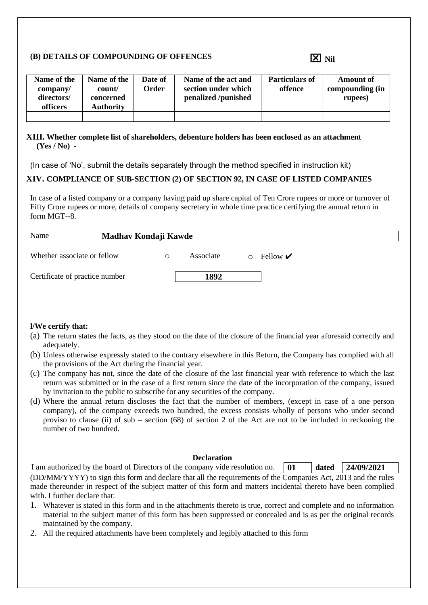#### **(B) DETAILS OF COMPOUNDING OF OFFENCES**

| Name of the<br>company/<br>directors/<br>officers | Name of the<br>count/<br>concerned<br><b>Authority</b> | Date of<br>)rder | Name of the act and<br>section under which<br>penalized /punished | <b>Particulars of</b><br>offence | <b>Amount of</b><br>compounding (in<br>rupees) |
|---------------------------------------------------|--------------------------------------------------------|------------------|-------------------------------------------------------------------|----------------------------------|------------------------------------------------|
|                                                   |                                                        |                  |                                                                   |                                  |                                                |

#### **XIII. Whether complete list of shareholders, debenture holders has been enclosed as an attachment (Yes / No) -**

(In case of 'No', submit the details separately through the method specified in instruction kit)

### **XIV. COMPLIANCE OF SUB-SECTION (2) OF SECTION 92, IN CASE OF LISTED COMPANIES**

In case of a listed company or a company having paid up share capital of Ten Crore rupees or more or turnover of Fifty Crore rupees or more, details of company secretary in whole time practice certifying the annual return in form MGT--8.

| Name | Madhav Kondaji Kawde           |   |           |  |                                  |  |  |
|------|--------------------------------|---|-----------|--|----------------------------------|--|--|
|      | Whether associate or fellow    | O | Associate |  | Fellow $\boldsymbol{\checkmark}$ |  |  |
|      | Certificate of practice number |   | 1892      |  |                                  |  |  |

#### **l/We certify that:**

- (a) The return states the facts, as they stood on the date of the closure of the financial year aforesaid correctly and adequately.
- (b) Unless otherwise expressly stated to the contrary elsewhere in this Return, the Company has complied with all the provisions of the Act during the financial year.
- (c) The company has not, since the date of the closure of the last financial year with reference to which the last return was submitted or in the case of a first return since the date of the incorporation of the company, issued by invitation to the public to subscribe for any securities of the company.
- (d) Where the annual return discloses the fact that the number of members, (except in case of a one person company), of the company exceeds two hundred, the excess consists wholly of persons who under second proviso to clause (ii) of sub – section (68) of section 2 of the Act are not to be included in reckoning the number of two hundred.

#### **Declaration**

I am authorized by the board of Directors of the company vide resolution no. **01 dated 24/09/2021**

(DD/MM/YYYY) to sign this form and declare that all the requirements of the Companies Act, 2013 and the rules made thereunder in respect of the subject matter of this form and matters incidental thereto have been complied with. I further declare that:

- 1. Whatever is stated in this form and in the attachments thereto is true, correct and complete and no information material to the subject matter of this form has been suppressed or concealed and is as per the original records maintained by the company.
- 2. All the required attachments have been completely and legibly attached to this form